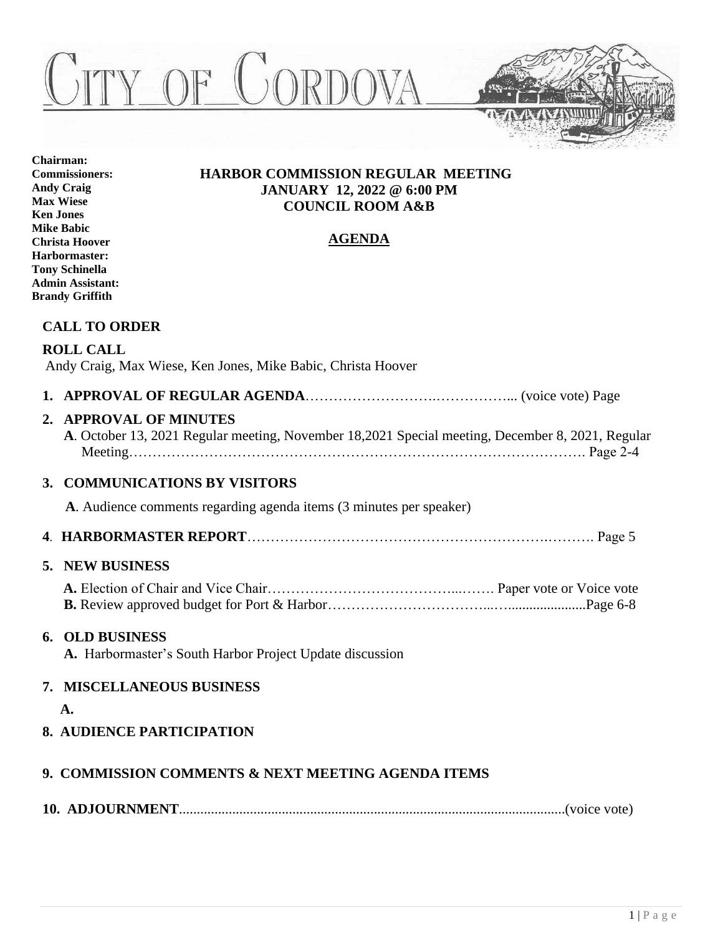



**Chairman: Commissioners: Andy Craig Max Wiese Ken Jones Mike Babic Christa Hoover Harbormaster: Tony Schinella Admin Assistant: Brandy Griffith**

# **HARBOR COMMISSION REGULAR MEETING JANUARY 12, 2022 @ 6:00 PM COUNCIL ROOM A&B**

# **AGENDA**

# **CALL TO ORDER**

# **ROLL CALL**

Andy Craig, Max Wiese, Ken Jones, Mike Babic, Christa Hoover

**1. APPROVAL OF REGULAR AGENDA**……………………….……………... (voice vote) Page

# **2. APPROVAL OF MINUTES**

 **A**. October 13, 2021 Regular meeting, November 18,2021 Special meeting, December 8, 2021, Regular Meeting……………………………………………………………………………………. Page 2-4

# **3. COMMUNICATIONS BY VISITORS**

 **A**. Audience comments regarding agenda items (3 minutes per speaker)

**4**. **HARBORMASTER REPORT**……………………………………………………….………. Page 5

# **5. NEW BUSINESS**

# **6. OLD BUSINESS**

 **A.** Harbormaster's South Harbor Project Update discussion

# **7. MISCELLANEOUS BUSINESS**

 **A.**

**8. AUDIENCE PARTICIPATION**

# **9. COMMISSION COMMENTS & NEXT MEETING AGENDA ITEMS**

**10. ADJOURNMENT**.............................................................................................................(voice vote)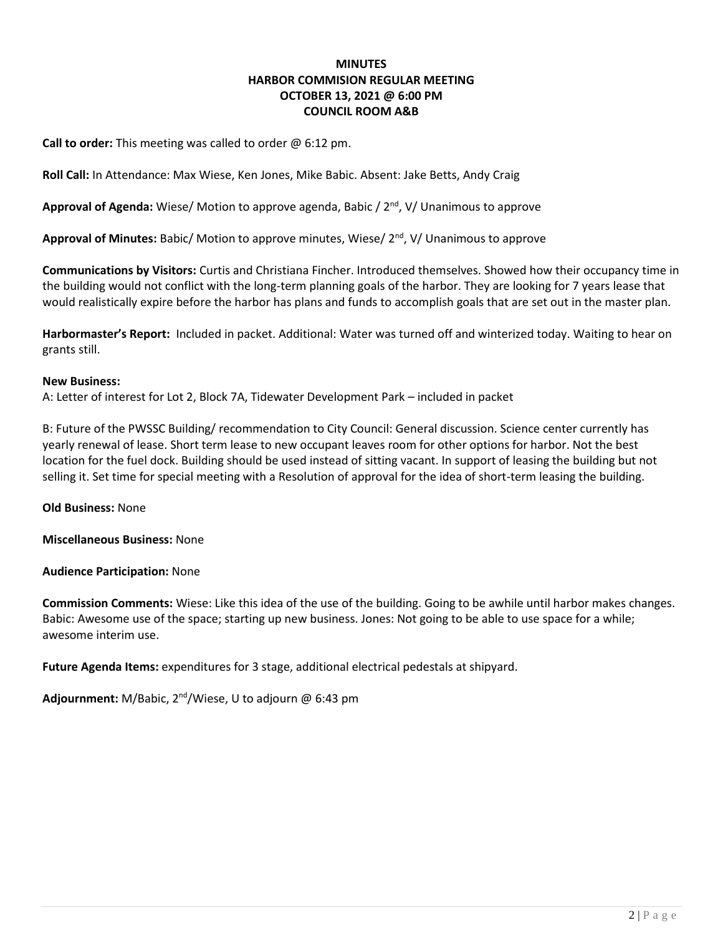## **MINUTES HARBOR COMMISION REGULAR MEETING OCTOBER 13, 2021 @ 6:00 PM COUNCIL ROOM A&B**

**Call to order:** This meeting was called to order @ 6:12 pm.

**Roll Call:** In Attendance: Max Wiese, Ken Jones, Mike Babic. Absent: Jake Betts, Andy Craig

Approval of Agenda: Wiese/ Motion to approve agenda, Babic / 2<sup>nd</sup>, V/ Unanimous to approve

Approval of Minutes: Babic/ Motion to approve minutes, Wiese/ 2<sup>nd</sup>, V/ Unanimous to approve

**Communications by Visitors:** Curtis and Christiana Fincher. Introduced themselves. Showed how their occupancy time in the building would not conflict with the long-term planning goals of the harbor. They are looking for 7 years lease that would realistically expire before the harbor has plans and funds to accomplish goals that are set out in the master plan.

**Harbormaster's Report:** Included in packet. Additional: Water was turned off and winterized today. Waiting to hear on grants still.

## **New Business:**

A: Letter of interest for Lot 2, Block 7A, Tidewater Development Park – included in packet

B: Future of the PWSSC Building/ recommendation to City Council: General discussion. Science center currently has yearly renewal of lease. Short term lease to new occupant leaves room for other options for harbor. Not the best location for the fuel dock. Building should be used instead of sitting vacant. In support of leasing the building but not selling it. Set time for special meeting with a Resolution of approval for the idea of short-term leasing the building.

**Old Business:** None

**Miscellaneous Business:** None

**Audience Participation:** None

**Commission Comments:** Wiese: Like this idea of the use of the building. Going to be awhile until harbor makes changes. Babic: Awesome use of the space; starting up new business. Jones: Not going to be able to use space for a while; awesome interim use.

**Future Agenda Items:** expenditures for 3 stage, additional electrical pedestals at shipyard.

**Adjournment:** M/Babic, 2nd/Wiese, U to adjourn @ 6:43 pm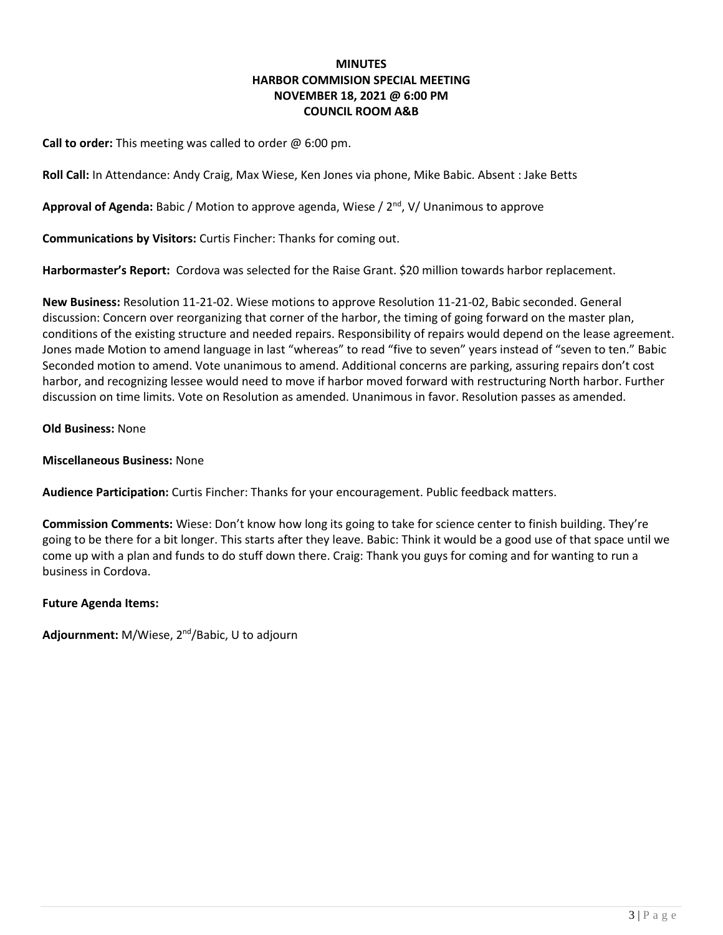## **MINUTES HARBOR COMMISION SPECIAL MEETING NOVEMBER 18, 2021 @ 6:00 PM COUNCIL ROOM A&B**

**Call to order:** This meeting was called to order @ 6:00 pm.

**Roll Call:** In Attendance: Andy Craig, Max Wiese, Ken Jones via phone, Mike Babic. Absent : Jake Betts

Approval of Agenda: Babic / Motion to approve agenda, Wiese / 2<sup>nd</sup>, V/ Unanimous to approve

**Communications by Visitors:** Curtis Fincher: Thanks for coming out.

**Harbormaster's Report:** Cordova was selected for the Raise Grant. \$20 million towards harbor replacement.

**New Business:** Resolution 11-21-02. Wiese motions to approve Resolution 11-21-02, Babic seconded. General discussion: Concern over reorganizing that corner of the harbor, the timing of going forward on the master plan, conditions of the existing structure and needed repairs. Responsibility of repairs would depend on the lease agreement. Jones made Motion to amend language in last "whereas" to read "five to seven" years instead of "seven to ten." Babic Seconded motion to amend. Vote unanimous to amend. Additional concerns are parking, assuring repairs don't cost harbor, and recognizing lessee would need to move if harbor moved forward with restructuring North harbor. Further discussion on time limits. Vote on Resolution as amended. Unanimous in favor. Resolution passes as amended.

#### **Old Business:** None

## **Miscellaneous Business:** None

**Audience Participation:** Curtis Fincher: Thanks for your encouragement. Public feedback matters.

**Commission Comments:** Wiese: Don't know how long its going to take for science center to finish building. They're going to be there for a bit longer. This starts after they leave. Babic: Think it would be a good use of that space until we come up with a plan and funds to do stuff down there. Craig: Thank you guys for coming and for wanting to run a business in Cordova.

## **Future Agenda Items:**

**Adjournment:** M/Wiese, 2nd/Babic, U to adjourn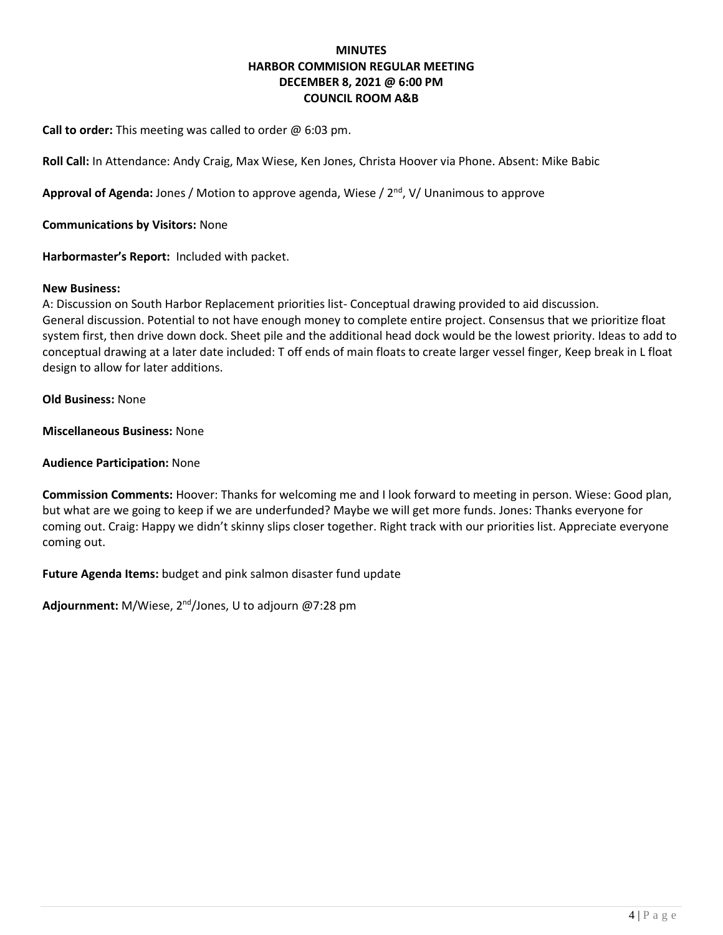## **MINUTES HARBOR COMMISION REGULAR MEETING DECEMBER 8, 2021 @ 6:00 PM COUNCIL ROOM A&B**

**Call to order:** This meeting was called to order @ 6:03 pm.

**Roll Call:** In Attendance: Andy Craig, Max Wiese, Ken Jones, Christa Hoover via Phone. Absent: Mike Babic

**Approval of Agenda:** Jones / Motion to approve agenda, Wiese / 2nd, V/ Unanimous to approve

**Communications by Visitors:** None

**Harbormaster's Report:** Included with packet.

#### **New Business:**

A: Discussion on South Harbor Replacement priorities list- Conceptual drawing provided to aid discussion. General discussion. Potential to not have enough money to complete entire project. Consensus that we prioritize float system first, then drive down dock. Sheet pile and the additional head dock would be the lowest priority. Ideas to add to conceptual drawing at a later date included: T off ends of main floats to create larger vessel finger, Keep break in L float design to allow for later additions.

**Old Business:** None

**Miscellaneous Business:** None

#### **Audience Participation:** None

**Commission Comments:** Hoover: Thanks for welcoming me and I look forward to meeting in person. Wiese: Good plan, but what are we going to keep if we are underfunded? Maybe we will get more funds. Jones: Thanks everyone for coming out. Craig: Happy we didn't skinny slips closer together. Right track with our priorities list. Appreciate everyone coming out.

**Future Agenda Items:** budget and pink salmon disaster fund update

**Adjournment:** M/Wiese, 2nd/Jones, U to adjourn @7:28 pm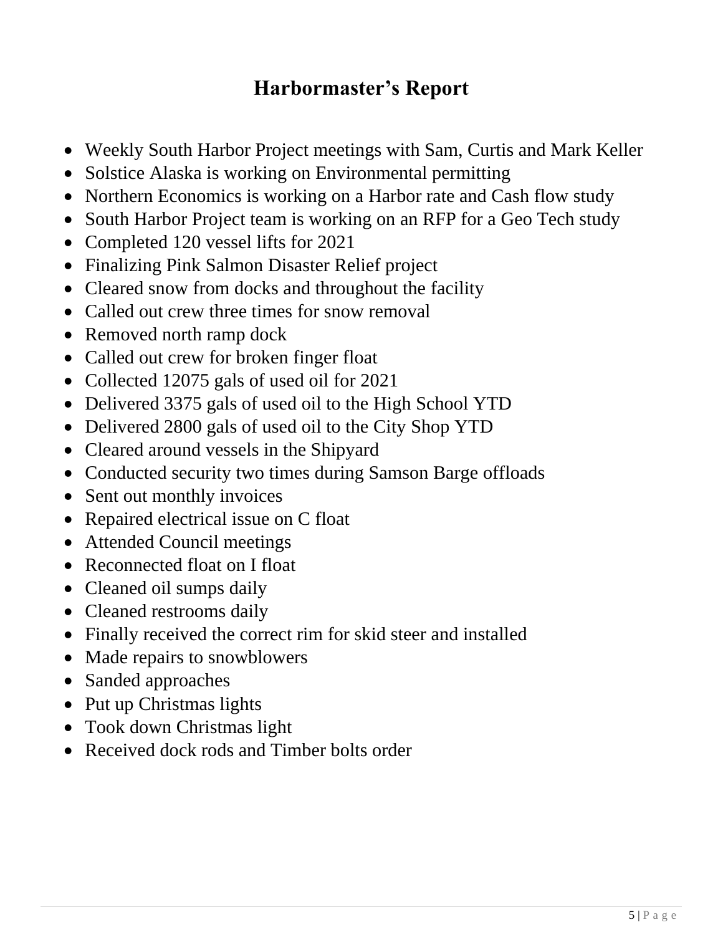# **Harbormaster's Report**

- Weekly South Harbor Project meetings with Sam, Curtis and Mark Keller
- Solstice Alaska is working on Environmental permitting
- Northern Economics is working on a Harbor rate and Cash flow study
- South Harbor Project team is working on an RFP for a Geo Tech study
- Completed 120 vessel lifts for 2021
- Finalizing Pink Salmon Disaster Relief project
- Cleared snow from docks and throughout the facility
- Called out crew three times for snow removal
- Removed north ramp dock
- Called out crew for broken finger float
- Collected 12075 gals of used oil for 2021
- Delivered 3375 gals of used oil to the High School YTD
- Delivered 2800 gals of used oil to the City Shop YTD
- Cleared around vessels in the Shipyard
- Conducted security two times during Samson Barge offloads
- Sent out monthly invoices
- Repaired electrical issue on C float
- Attended Council meetings
- Reconnected float on I float
- Cleaned oil sumps daily
- Cleaned restrooms daily
- Finally received the correct rim for skid steer and installed
- Made repairs to snowblowers
- Sanded approaches
- Put up Christmas lights
- Took down Christmas light
- Received dock rods and Timber bolts order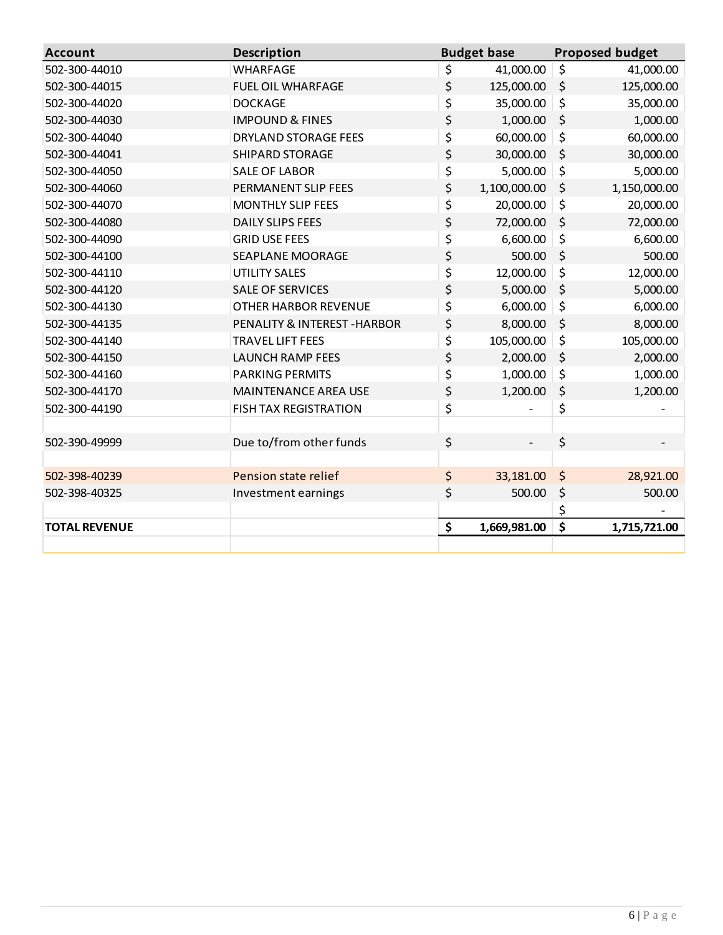| <b>Account</b>       | <b>Description</b>           | <b>Budget base</b> | <b>Proposed budget</b> |
|----------------------|------------------------------|--------------------|------------------------|
| 502-300-44010        | <b>WHARFAGE</b>              | \$<br>41,000.00    | \$<br>41,000.00        |
| 502-300-44015        | <b>FUEL OIL WHARFAGE</b>     | \$<br>125,000.00   | \$<br>125,000.00       |
| 502-300-44020        | <b>DOCKAGE</b>               | \$<br>35,000.00    | \$<br>35,000.00        |
| 502-300-44030        | <b>IMPOUND &amp; FINES</b>   | \$<br>1,000.00     | \$<br>1,000.00         |
| 502-300-44040        | <b>DRYLAND STORAGE FEES</b>  | \$<br>60,000.00    | \$<br>60,000.00        |
| 502-300-44041        | <b>SHIPARD STORAGE</b>       | \$<br>30,000.00    | \$<br>30,000.00        |
| 502-300-44050        | <b>SALE OF LABOR</b>         | \$<br>5,000.00     | \$<br>5,000.00         |
| 502-300-44060        | PERMANENT SLIP FEES          | \$<br>1,100,000.00 | \$<br>1,150,000.00     |
| 502-300-44070        | <b>MONTHLY SLIP FEES</b>     | \$<br>20,000.00    | \$<br>20,000.00        |
| 502-300-44080        | <b>DAILY SLIPS FEES</b>      | \$<br>72,000.00    | \$<br>72,000.00        |
| 502-300-44090        | <b>GRID USE FEES</b>         | \$<br>6,600.00     | \$<br>6,600.00         |
| 502-300-44100        | SEAPLANE MOORAGE             | \$<br>500.00       | \$<br>500.00           |
| 502-300-44110        | <b>UTILITY SALES</b>         | \$<br>12,000.00    | \$<br>12,000.00        |
| 502-300-44120        | <b>SALE OF SERVICES</b>      | \$<br>5,000.00     | \$<br>5,000.00         |
| 502-300-44130        | <b>OTHER HARBOR REVENUE</b>  | \$<br>6,000.00     | \$<br>6,000.00         |
| 502-300-44135        | PENALITY & INTEREST-HARBOR   | \$<br>8,000.00     | \$<br>8,000.00         |
| 502-300-44140        | <b>TRAVEL LIFT FEES</b>      | \$<br>105,000.00   | \$<br>105,000.00       |
| 502-300-44150        | <b>LAUNCH RAMP FEES</b>      | \$<br>2,000.00     | \$<br>2,000.00         |
| 502-300-44160        | <b>PARKING PERMITS</b>       | \$<br>1,000.00     | \$<br>1,000.00         |
| 502-300-44170        | <b>MAINTENANCE AREA USE</b>  | \$<br>1,200.00     | \$<br>1,200.00         |
| 502-300-44190        | <b>FISH TAX REGISTRATION</b> | \$                 | \$                     |
|                      |                              |                    |                        |
| 502-390-49999        | Due to/from other funds      | \$                 | \$                     |
|                      |                              |                    |                        |
| 502-398-40239        | Pension state relief         | \$<br>33,181.00    | \$<br>28,921.00        |
| 502-398-40325        | Investment earnings          | \$<br>500.00       | \$<br>500.00           |
|                      |                              |                    | \$                     |
| <b>TOTAL REVENUE</b> |                              | \$<br>1,669,981.00 | \$<br>1,715,721.00     |
|                      |                              |                    |                        |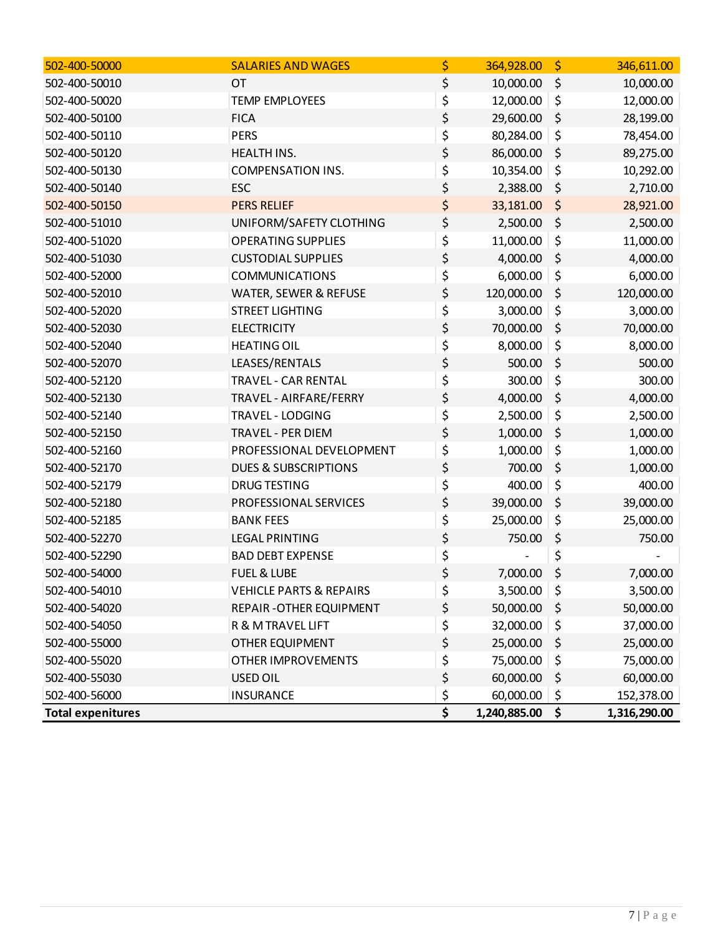| 502-400-50000            | <b>SALARIES AND WAGES</b>          | \$<br>364,928.00   | \$<br>346,611.00   |
|--------------------------|------------------------------------|--------------------|--------------------|
| 502-400-50010            | <b>OT</b>                          | \$<br>10,000.00    | \$<br>10,000.00    |
| 502-400-50020            | <b>TEMP EMPLOYEES</b>              | \$<br>12,000.00    | \$<br>12,000.00    |
| 502-400-50100            | <b>FICA</b>                        | \$<br>29,600.00    | \$<br>28,199.00    |
| 502-400-50110            | <b>PERS</b>                        | \$<br>80,284.00    | \$<br>78,454.00    |
| 502-400-50120            | HEALTH INS.                        | \$<br>86,000.00    | \$<br>89,275.00    |
| 502-400-50130            | <b>COMPENSATION INS.</b>           | \$<br>10,354.00    | \$<br>10,292.00    |
| 502-400-50140            | <b>ESC</b>                         | \$<br>2,388.00     | \$<br>2,710.00     |
| 502-400-50150            | <b>PERS RELIEF</b>                 | \$<br>33,181.00    | \$<br>28,921.00    |
| 502-400-51010            | UNIFORM/SAFETY CLOTHING            | \$<br>2,500.00     | \$<br>2,500.00     |
| 502-400-51020            | <b>OPERATING SUPPLIES</b>          | \$<br>11,000.00    | \$<br>11,000.00    |
| 502-400-51030            | <b>CUSTODIAL SUPPLIES</b>          | \$<br>4,000.00     | \$<br>4,000.00     |
| 502-400-52000            | <b>COMMUNICATIONS</b>              | \$<br>6,000.00     | \$<br>6,000.00     |
| 502-400-52010            | WATER, SEWER & REFUSE              | \$<br>120,000.00   | \$<br>120,000.00   |
| 502-400-52020            | <b>STREET LIGHTING</b>             | \$<br>3,000.00     | \$<br>3,000.00     |
| 502-400-52030            | <b>ELECTRICITY</b>                 | \$<br>70,000.00    | \$<br>70,000.00    |
| 502-400-52040            | <b>HEATING OIL</b>                 | \$<br>8,000.00     | \$<br>8,000.00     |
| 502-400-52070            | LEASES/RENTALS                     | \$<br>500.00       | \$<br>500.00       |
| 502-400-52120            | <b>TRAVEL - CAR RENTAL</b>         | \$<br>300.00       | \$<br>300.00       |
| 502-400-52130            | TRAVEL - AIRFARE/FERRY             | \$<br>4,000.00     | \$<br>4,000.00     |
| 502-400-52140            | TRAVEL - LODGING                   | \$<br>2,500.00     | \$<br>2,500.00     |
| 502-400-52150            | <b>TRAVEL - PER DIEM</b>           | \$<br>1,000.00     | \$<br>1,000.00     |
| 502-400-52160            | PROFESSIONAL DEVELOPMENT           | \$<br>1,000.00     | \$<br>1,000.00     |
| 502-400-52170            | <b>DUES &amp; SUBSCRIPTIONS</b>    | \$<br>700.00       | \$<br>1,000.00     |
| 502-400-52179            | <b>DRUG TESTING</b>                | \$<br>400.00       | \$<br>400.00       |
| 502-400-52180            | PROFESSIONAL SERVICES              | \$<br>39,000.00    | \$<br>39,000.00    |
| 502-400-52185            | <b>BANK FEES</b>                   | \$<br>25,000.00    | \$<br>25,000.00    |
| 502-400-52270            | <b>LEGAL PRINTING</b>              | \$<br>750.00       | \$<br>750.00       |
| 502-400-52290            | <b>BAD DEBT EXPENSE</b>            | \$                 | \$                 |
| 502-400-54000            | <b>FUEL &amp; LUBE</b>             | \$<br>7,000.00     | \$<br>7,000.00     |
| 502-400-54010            | <b>VEHICLE PARTS &amp; REPAIRS</b> | \$<br>3,500.00     | \$<br>3,500.00     |
| 502-400-54020            | REPAIR - OTHER EQUIPMENT           | \$<br>50,000.00    | \$<br>50,000.00    |
| 502-400-54050            | R & M TRAVEL LIFT                  | \$<br>32,000.00    | \$<br>37,000.00    |
| 502-400-55000            | <b>OTHER EQUIPMENT</b>             | \$<br>25,000.00    | \$<br>25,000.00    |
| 502-400-55020            | <b>OTHER IMPROVEMENTS</b>          | \$<br>75,000.00    | \$<br>75,000.00    |
| 502-400-55030            | <b>USED OIL</b>                    | \$<br>60,000.00    | \$<br>60,000.00    |
| 502-400-56000            | <b>INSURANCE</b>                   | \$<br>60,000.00    | \$<br>152,378.00   |
| <b>Total expenitures</b> |                                    | \$<br>1,240,885.00 | \$<br>1,316,290.00 |